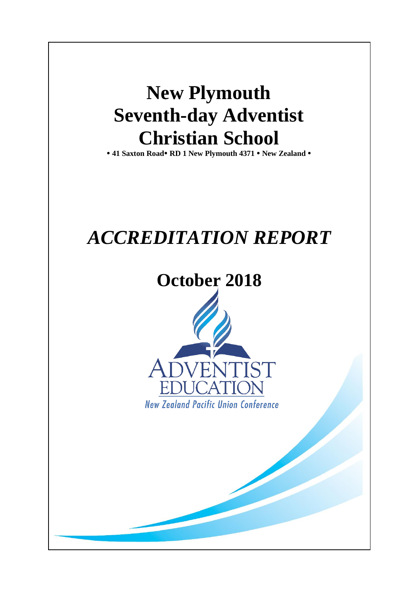# **New Plymouth Seventh-day Adventist Christian School**

**41 Saxton Road RD 1 New Plymouth 4371 New Zealand** 

# *ACCREDITATION REPORT*

# **October 2018**

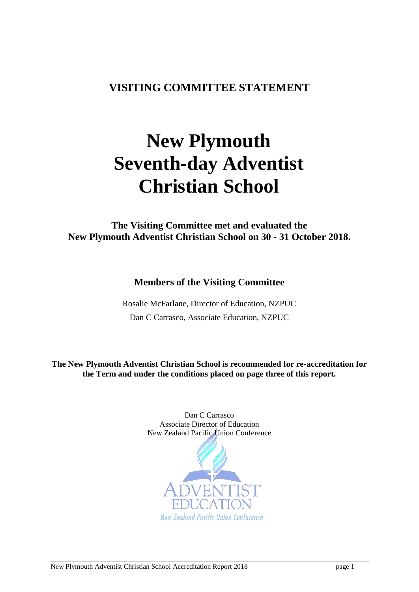## <span id="page-1-0"></span>**VISITING COMMITTEE STATEMENT**

# **New Plymouth Seventh-day Adventist Christian School**

**The Visiting Committee met and evaluated the New Plymouth Adventist Christian School on 30 - 31 October 2018.**

**Members of the Visiting Committee**

Rosalie McFarlane, Director of Education, NZPUC Dan C Carrasco, Associate Education, NZPUC

**The New Plymouth Adventist Christian School is recommended for re-accreditation for the Term and under the conditions placed on page three of this report.**

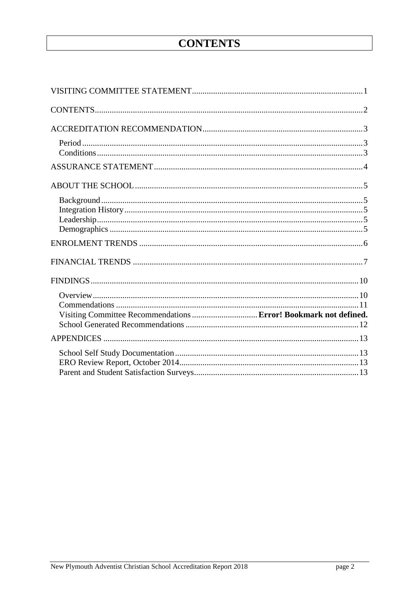# **CONTENTS**

<span id="page-2-0"></span>

| Visiting Committee Recommendations  Error! Bookmark not defined. |  |
|------------------------------------------------------------------|--|
|                                                                  |  |
|                                                                  |  |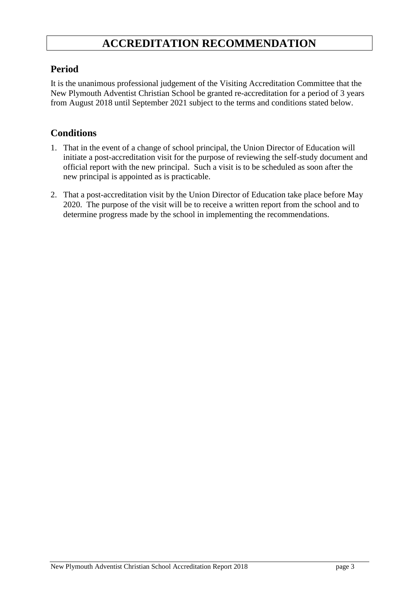## **ACCREDITATION RECOMMENDATION**

#### <span id="page-3-1"></span><span id="page-3-0"></span>**Period**

It is the unanimous professional judgement of the Visiting Accreditation Committee that the New Plymouth Adventist Christian School be granted re-accreditation for a period of 3 years from August 2018 until September 2021 subject to the terms and conditions stated below.

#### <span id="page-3-2"></span>**Conditions**

- 1. That in the event of a change of school principal, the Union Director of Education will initiate a post-accreditation visit for the purpose of reviewing the self-study document and official report with the new principal. Such a visit is to be scheduled as soon after the new principal is appointed as is practicable.
- 2. That a post-accreditation visit by the Union Director of Education take place before May 2020. The purpose of the visit will be to receive a written report from the school and to determine progress made by the school in implementing the recommendations.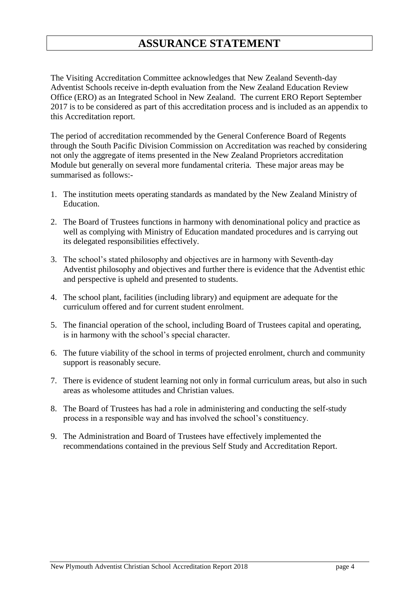## **ASSURANCE STATEMENT**

<span id="page-4-0"></span>The Visiting Accreditation Committee acknowledges that New Zealand Seventh-day Adventist Schools receive in-depth evaluation from the New Zealand Education Review Office (ERO) as an Integrated School in New Zealand. The current ERO Report September 2017 is to be considered as part of this accreditation process and is included as an appendix to this Accreditation report.

The period of accreditation recommended by the General Conference Board of Regents through the South Pacific Division Commission on Accreditation was reached by considering not only the aggregate of items presented in the New Zealand Proprietors accreditation Module but generally on several more fundamental criteria. These major areas may be summarised as follows:-

- 1. The institution meets operating standards as mandated by the New Zealand Ministry of Education.
- 2. The Board of Trustees functions in harmony with denominational policy and practice as well as complying with Ministry of Education mandated procedures and is carrying out its delegated responsibilities effectively.
- 3. The school's stated philosophy and objectives are in harmony with Seventh-day Adventist philosophy and objectives and further there is evidence that the Adventist ethic and perspective is upheld and presented to students.
- 4. The school plant, facilities (including library) and equipment are adequate for the curriculum offered and for current student enrolment.
- 5. The financial operation of the school, including Board of Trustees capital and operating, is in harmony with the school's special character.
- 6. The future viability of the school in terms of projected enrolment, church and community support is reasonably secure.
- 7. There is evidence of student learning not only in formal curriculum areas, but also in such areas as wholesome attitudes and Christian values.
- 8. The Board of Trustees has had a role in administering and conducting the self-study process in a responsible way and has involved the school's constituency.
- 9. The Administration and Board of Trustees have effectively implemented the recommendations contained in the previous Self Study and Accreditation Report.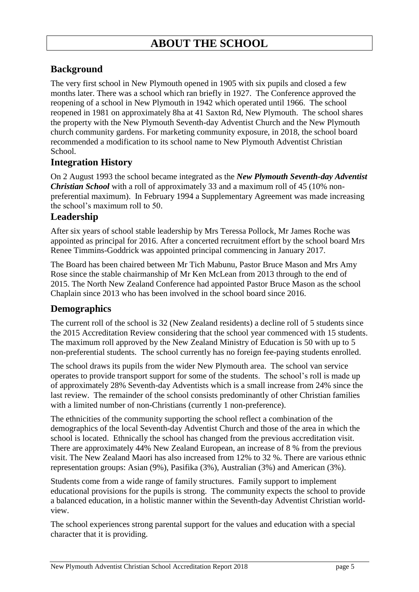#### <span id="page-5-1"></span><span id="page-5-0"></span>**Background**

The very first school in New Plymouth opened in 1905 with six pupils and closed a few months later. There was a school which ran briefly in 1927. The Conference approved the reopening of a school in New Plymouth in 1942 which operated until 1966. The school reopened in 1981 on approximately 8ha at 41 Saxton Rd, New Plymouth. The school shares the property with the New Plymouth Seventh-day Adventist Church and the New Plymouth church community gardens. For marketing community exposure, in 2018, the school board recommended a modification to its school name to New Plymouth Adventist Christian School.

#### <span id="page-5-2"></span>**Integration History**

On 2 August 1993 the school became integrated as the *New Plymouth Seventh-day Adventist Christian School* with a roll of approximately 33 and a maximum roll of 45 (10% nonpreferential maximum). In February 1994 a Supplementary Agreement was made increasing the school's maximum roll to 50.

#### <span id="page-5-3"></span>**Leadership**

After six years of school stable leadership by Mrs Teressa Pollock, Mr James Roche was appointed as principal for 2016. After a concerted recruitment effort by the school board Mrs Renee Timmins-Goddrick was appointed principal commencing in January 2017.

The Board has been chaired between Mr Tich Mabunu, Pastor Bruce Mason and Mrs Amy Rose since the stable chairmanship of Mr Ken McLean from 2013 through to the end of 2015. The North New Zealand Conference had appointed Pastor Bruce Mason as the school Chaplain since 2013 who has been involved in the school board since 2016.

#### <span id="page-5-4"></span>**Demographics**

The current roll of the school is 32 (New Zealand residents) a decline roll of 5 students since the 2015 Accreditation Review considering that the school year commenced with 15 students. The maximum roll approved by the New Zealand Ministry of Education is 50 with up to 5 non-preferential students. The school currently has no foreign fee-paying students enrolled.

The school draws its pupils from the wider New Plymouth area. The school van service operates to provide transport support for some of the students. The school's roll is made up of approximately 28% Seventh-day Adventists which is a small increase from 24% since the last review. The remainder of the school consists predominantly of other Christian families with a limited number of non-Christians (currently 1 non-preference).

The ethnicities of the community supporting the school reflect a combination of the demographics of the local Seventh-day Adventist Church and those of the area in which the school is located. Ethnically the school has changed from the previous accreditation visit. There are approximately 44% New Zealand European, an increase of 8 % from the previous visit. The New Zealand Maori has also increased from 12% to 32 %. There are various ethnic representation groups: Asian (9%), Pasifika (3%), Australian (3%) and American (3%).

Students come from a wide range of family structures. Family support to implement educational provisions for the pupils is strong. The community expects the school to provide a balanced education, in a holistic manner within the Seventh-day Adventist Christian worldview.

The school experiences strong parental support for the values and education with a special character that it is providing.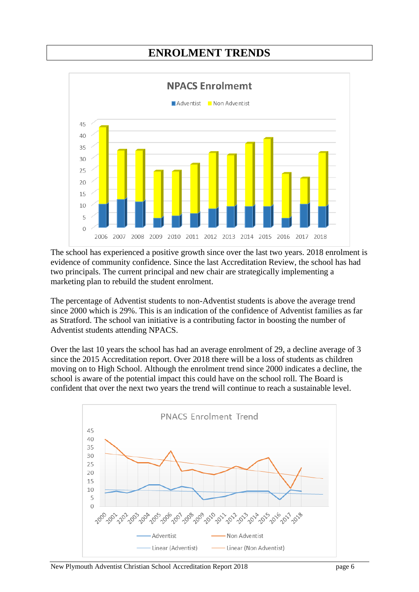# **ENROLMENT TRENDS**

<span id="page-6-0"></span>

The school has experienced a positive growth since over the last two years. 2018 enrolment is evidence of community confidence. Since the last Accreditation Review, the school has had two principals. The current principal and new chair are strategically implementing a marketing plan to rebuild the student enrolment.

The percentage of Adventist students to non-Adventist students is above the average trend since 2000 which is 29%. This is an indication of the confidence of Adventist families as far as Stratford. The school van initiative is a contributing factor in boosting the number of Adventist students attending NPACS.

Over the last 10 years the school has had an average enrolment of 29, a decline average of 3 since the 2015 Accreditation report. Over 2018 there will be a loss of students as children moving on to High School. Although the enrolment trend since 2000 indicates a decline, the school is aware of the potential impact this could have on the school roll. The Board is confident that over the next two years the trend will continue to reach a sustainable level.

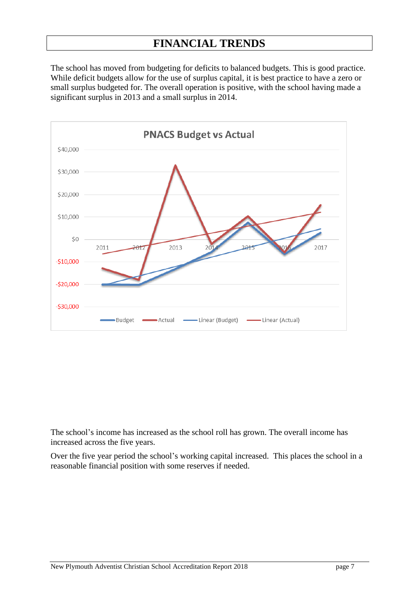## **FINANCIAL TRENDS**

<span id="page-7-0"></span>The school has moved from budgeting for deficits to balanced budgets. This is good practice. While deficit budgets allow for the use of surplus capital, it is best practice to have a zero or small surplus budgeted for. The overall operation is positive, with the school having made a significant surplus in 2013 and a small surplus in 2014.



The school's income has increased as the school roll has grown. The overall income has increased across the five years.

Over the five year period the school's working capital increased. This places the school in a reasonable financial position with some reserves if needed.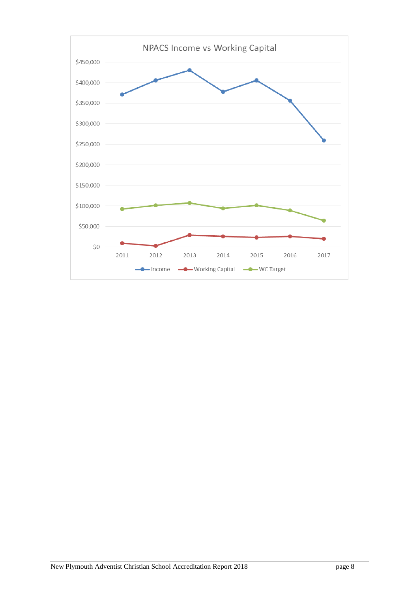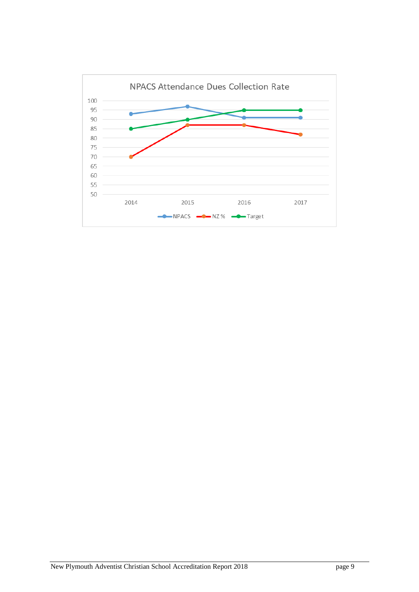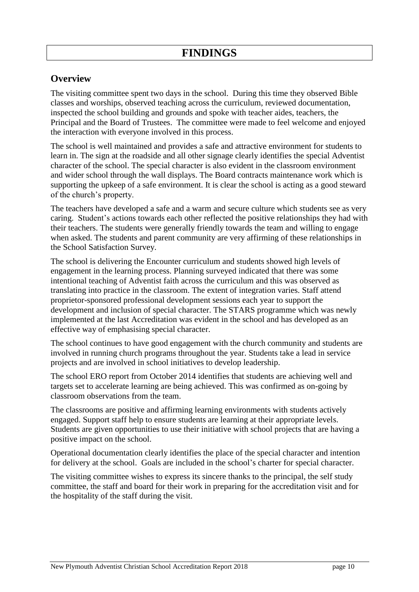#### <span id="page-10-1"></span><span id="page-10-0"></span>**Overview**

The visiting committee spent two days in the school. During this time they observed Bible classes and worships, observed teaching across the curriculum, reviewed documentation, inspected the school building and grounds and spoke with teacher aides, teachers, the Principal and the Board of Trustees. The committee were made to feel welcome and enjoyed the interaction with everyone involved in this process.

The school is well maintained and provides a safe and attractive environment for students to learn in. The sign at the roadside and all other signage clearly identifies the special Adventist character of the school. The special character is also evident in the classroom environment and wider school through the wall displays. The Board contracts maintenance work which is supporting the upkeep of a safe environment. It is clear the school is acting as a good steward of the church's property.

The teachers have developed a safe and a warm and secure culture which students see as very caring. Student's actions towards each other reflected the positive relationships they had with their teachers. The students were generally friendly towards the team and willing to engage when asked. The students and parent community are very affirming of these relationships in the School Satisfaction Survey.

The school is delivering the Encounter curriculum and students showed high levels of engagement in the learning process. Planning surveyed indicated that there was some intentional teaching of Adventist faith across the curriculum and this was observed as translating into practice in the classroom. The extent of integration varies. Staff attend proprietor-sponsored professional development sessions each year to support the development and inclusion of special character. The STARS programme which was newly implemented at the last Accreditation was evident in the school and has developed as an effective way of emphasising special character.

The school continues to have good engagement with the church community and students are involved in running church programs throughout the year. Students take a lead in service projects and are involved in school initiatives to develop leadership.

The school ERO report from October 2014 identifies that students are achieving well and targets set to accelerate learning are being achieved. This was confirmed as on-going by classroom observations from the team.

The classrooms are positive and affirming learning environments with students actively engaged. Support staff help to ensure students are learning at their appropriate levels. Students are given opportunities to use their initiative with school projects that are having a positive impact on the school.

Operational documentation clearly identifies the place of the special character and intention for delivery at the school. Goals are included in the school's charter for special character.

The visiting committee wishes to express its sincere thanks to the principal, the self study committee, the staff and board for their work in preparing for the accreditation visit and for the hospitality of the staff during the visit.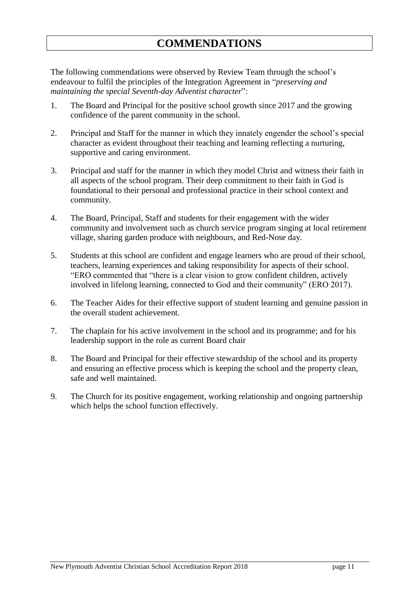<span id="page-11-0"></span>The following commendations were observed by Review Team through the school's endeavour to fulfil the principles of the Integration Agreement in "*preserving and maintaining the special Seventh-day Adventist character*":

- 1. The Board and Principal for the positive school growth since 2017 and the growing confidence of the parent community in the school.
- 2. Principal and Staff for the manner in which they innately engender the school's special character as evident throughout their teaching and learning reflecting a nurturing, supportive and caring environment.
- 3. Principal and staff for the manner in which they model Christ and witness their faith in all aspects of the school program. Their deep commitment to their faith in God is foundational to their personal and professional practice in their school context and community.
- 4. The Board, Principal, Staff and students for their engagement with the wider community and involvement such as church service program singing at local retirement village, sharing garden produce with neighbours, and Red-Nose day*.*
- 5. Students at this school are confident and engage learners who are proud of their school, teachers, learning experiences and taking responsibility for aspects of their school. "ERO commented that "there is a clear vision to grow confident children, actively involved in lifelong learning, connected to God and their community" (ERO 2017).
- 6. The Teacher Aides for their effective support of student learning and genuine passion in the overall student achievement.
- 7. The chaplain for his active involvement in the school and its programme; and for his leadership support in the role as current Board chair
- 8. The Board and Principal for their effective stewardship of the school and its property and ensuring an effective process which is keeping the school and the property clean, safe and well maintained.
- <span id="page-11-1"></span>9. The Church for its positive engagement, working relationship and ongoing partnership which helps the school function effectively.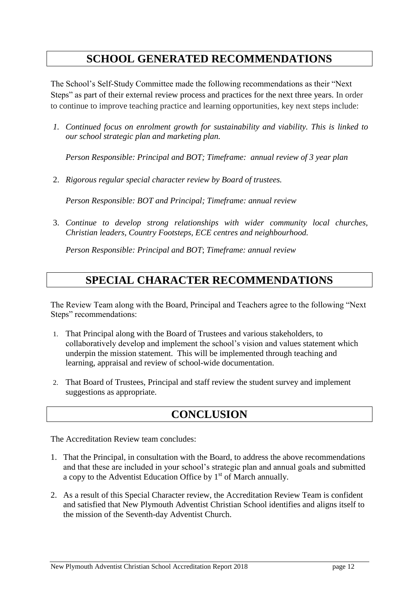# **SCHOOL GENERATED RECOMMENDATIONS**

The School's Self-Study Committee made the following recommendations as their "Next Steps" as part of their external review process and practices for the next three years. In order to continue to improve teaching practice and learning opportunities, key next steps include:

*1. Continued focus on enrolment growth for sustainability and viability. This is linked to our school strategic plan and marketing plan.*

*Person Responsible: Principal and BOT; Timeframe: annual review of 3 year plan*

2. *Rigorous regular special character review by Board of trustees.*

*Person Responsible: BOT and Principal; Timeframe: annual review*

3. *Continue to develop strong relationships with wider community local churches, Christian leaders, Country Footsteps, ECE centres and neighbourhood.*

*Person Responsible: Principal and BOT*; *Timeframe: annual review*

# **SPECIAL CHARACTER RECOMMENDATIONS**

The Review Team along with the Board, Principal and Teachers agree to the following "Next Steps" recommendations:

- 1. That Principal along with the Board of Trustees and various stakeholders, to collaboratively develop and implement the school's vision and values statement which underpin the mission statement. This will be implemented through teaching and learning, appraisal and review of school-wide documentation.
- 2. That Board of Trustees, Principal and staff review the student survey and implement suggestions as appropriate.

# **CONCLUSION**

The Accreditation Review team concludes:

- 1. That the Principal, in consultation with the Board, to address the above recommendations and that these are included in your school's strategic plan and annual goals and submitted a copy to the Adventist Education Office by  $1<sup>st</sup>$  of March annually.
- 2. As a result of this Special Character review, the Accreditation Review Team is confident and satisfied that New Plymouth Adventist Christian School identifies and aligns itself to the mission of the Seventh-day Adventist Church.